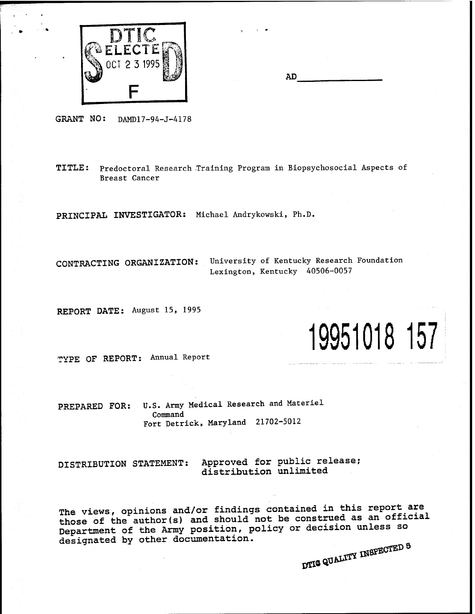

| AD |  |
|----|--|
|    |  |

GRANT NO: DAMD17-94-J-4178

TITLE: Predoctoral Research Training Program in Biopsychosocial Aspects of Breast Cancer

**PRINCIPAL INVESTIGATOR:** Michael Andrykowski, Ph.D.

**CONTRACTING ORGANIZATION:** University of Kentucky Research Foundation Lexington, Kentucky 40506-0057

**REPORT DATE:** August 15, 1995

# **19951018 157**

TYPE OF REPORT: Annual Report

PREPARED FOR: U.S. Army Medical Research and Materiel Command Fort Detrick, Maryland 21702-5012

DISTRIBUTION STATEMENT: Approved for public release; distribution unlimited

The views, opinions and/or findings contained in this report are those of the author(s) and should not be construed as an official Department of the Army position, policy or decision unless so designated by other documentation. DTIG QUALITY INSPECTED 8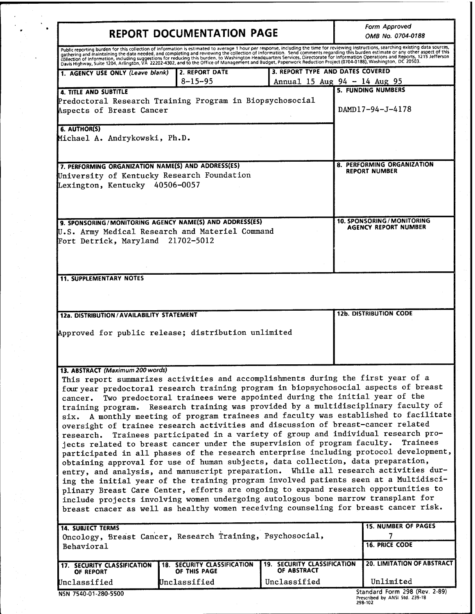|                                                                                                                                                                                                                                                  | <b>REPORT DOCUMENTATION PAGE</b>            |                                                   | Form Approved<br>OMB No. 0704-0188                                                                                                                                                                                                                                                                                                                                                                                                                                                                                                                                                              |
|--------------------------------------------------------------------------------------------------------------------------------------------------------------------------------------------------------------------------------------------------|---------------------------------------------|---------------------------------------------------|-------------------------------------------------------------------------------------------------------------------------------------------------------------------------------------------------------------------------------------------------------------------------------------------------------------------------------------------------------------------------------------------------------------------------------------------------------------------------------------------------------------------------------------------------------------------------------------------------|
|                                                                                                                                                                                                                                                  |                                             |                                                   | Public reporting burden for this collection of information is estimated to average 1 hour per response, including the time for reviewing instructions, searching existing data sources, gathering and maintaining the data nee                                                                                                                                                                                                                                                                                                                                                                  |
| 1. AGENCY USE ONLY (Leave blank)                                                                                                                                                                                                                 | 2. REPORT DATE<br>$8 - 15 - 95$             |                                                   | 3. REPORT TYPE AND DATES COVERED<br>Annual 15 Aug $94 - 14$ Aug $95$                                                                                                                                                                                                                                                                                                                                                                                                                                                                                                                            |
| 4. TITLE AND SUBTITLE<br>Predoctoral Research Training Program in Biopsychosocial<br>Aspects of Breast Cancer                                                                                                                                    |                                             |                                                   | <b>5. FUNDING NUMBERS</b><br>DAMD17-94-J-4178                                                                                                                                                                                                                                                                                                                                                                                                                                                                                                                                                   |
| 6. AUTHOR(S)<br>Michael A. Andrykowski, Ph.D.                                                                                                                                                                                                    |                                             |                                                   |                                                                                                                                                                                                                                                                                                                                                                                                                                                                                                                                                                                                 |
| 7. PERFORMING ORGANIZATION NAME(S) AND ADDRESS(ES)<br>University of Kentucky Research Foundation<br>Lexington, Kentucky 40506-0057                                                                                                               |                                             |                                                   | 8. PERFORMING ORGANIZATION<br><b>REPORT NUMBER</b>                                                                                                                                                                                                                                                                                                                                                                                                                                                                                                                                              |
| 9. SPONSORING/MONITORING AGENCY NAME(S) AND ADDRESS(ES)<br>U.S. Army Medical Research and Materiel Command<br>Fort Detrick, Maryland 21702-5012                                                                                                  |                                             |                                                   | 10. SPONSORING / MONITORING<br><b>AGENCY REPORT NUMBER</b>                                                                                                                                                                                                                                                                                                                                                                                                                                                                                                                                      |
| <b>11. SUPPLEMENTARY NOTES</b>                                                                                                                                                                                                                   |                                             |                                                   |                                                                                                                                                                                                                                                                                                                                                                                                                                                                                                                                                                                                 |
| 12a. DISTRIBUTION / AVAILABILITY STATEMENT                                                                                                                                                                                                       |                                             |                                                   | <b>12b. DISTRIBUTION CODE</b>                                                                                                                                                                                                                                                                                                                                                                                                                                                                                                                                                                   |
| Approved for public release; distribution unlimited                                                                                                                                                                                              |                                             |                                                   |                                                                                                                                                                                                                                                                                                                                                                                                                                                                                                                                                                                                 |
| 13. ABSTRACT (Maximum 200 words)<br>This report summarizes activities and accomplishments during the first year of a<br>cancer.                                                                                                                  |                                             |                                                   | four year predoctoral research training program in biopsychosocial aspects of breast<br>Two predoctoral trainees were appointed during the initial year of the<br>training program. Research training was provided by a multidisciplinary faculty of<br>six. A monthly meeting of program trainees and faculty was established to facilitate                                                                                                                                                                                                                                                    |
| oversight of trainee research activities and discussion of breast-cancer related<br>jects related to breast cancer under the supervision of program faculty.<br>obtaining approval for use of human subjects, data collection, data preparation, |                                             |                                                   | Trainees                                                                                                                                                                                                                                                                                                                                                                                                                                                                                                                                                                                        |
| include projects involving women undergoing autologous bone marrow transplant for                                                                                                                                                                |                                             |                                                   |                                                                                                                                                                                                                                                                                                                                                                                                                                                                                                                                                                                                 |
| <b>14. SUBJECT TERMS</b><br>Oncology, Breast Cancer, Research Training, Psychosocial,<br><b>Behavioral</b>                                                                                                                                       |                                             |                                                   | research. Trainees participated in a variety of group and individual research pro-<br>participated in all phases of the research enterprise including protocol development,<br>entry, and analysis, and manuscript preparation. While all research activities dur-<br>ing the initial year of the training program involved patients seen at a Multidisci-<br>plinary Breast Care Center, efforts are ongoing to expand research opportunities to<br>breast cnacer as well as healthy women receiving counseling for breast cancer risk.<br><b>15. NUMBER OF PAGES</b><br><b>16. PRICE CODE</b> |
| 17. SECURITY CLASSIFICATION<br>OF REPORT                                                                                                                                                                                                         | 18. SECURITY CLASSIFICATION<br>OF THIS PAGE | <b>19. SECURITY CLASSIFICATION</b><br>OF ABSTRACT | 20. LIMITATION OF ABSTRACT                                                                                                                                                                                                                                                                                                                                                                                                                                                                                                                                                                      |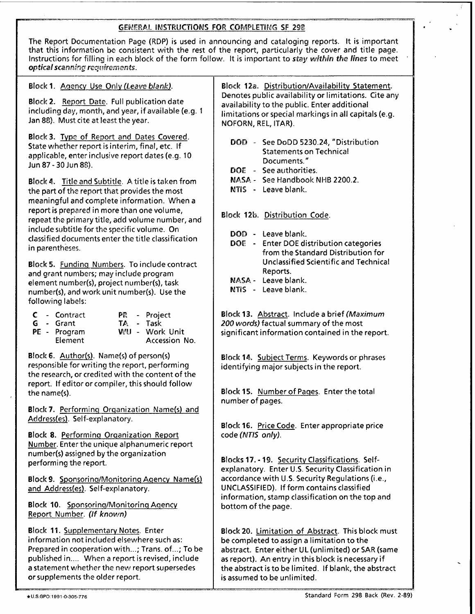# GENERAL INSTRUCTIONS FOR COMPLETING SF 29B

| The Report Documentation Page (RDP) is used in announcing and cataloging reports. It is important<br>that this information be consistent with the rest of the report, particularly the cover and title page.<br>Instructions for filling in each block of the form follow. It is important to stay within the lines to meet<br>optical scanning requirements. |                                                                                                                                                                                      |  |  |
|---------------------------------------------------------------------------------------------------------------------------------------------------------------------------------------------------------------------------------------------------------------------------------------------------------------------------------------------------------------|--------------------------------------------------------------------------------------------------------------------------------------------------------------------------------------|--|--|
| Block 1. Agency Use Only (Leave blank).                                                                                                                                                                                                                                                                                                                       | Block 12a. Distribution/Availability Statement.                                                                                                                                      |  |  |
| Block 2. Report Date. Full publication date<br>including day, month, and year, if available (e.g. 1<br>Jan 88). Must cite at least the year.                                                                                                                                                                                                                  | Denotes public availability or limitations. Cite any<br>availability to the public. Enter additional<br>limitations or special markings in all capitals (e.g.<br>NOFORN, REL, ITAR). |  |  |

Block3. Type of Report and Dates Covered. State whether report is interim, final, etc. If applicable, enter inclusive report dates (e.g. 10 Jun87-30Jun8S).

Block 4. Title and Subtitle. A title is taken from the part of the report that provides the most meaningful and complete information. When a report is prepared in more than one volume, repeat the primary title, add volume number, and include subtitle for the specific volume. On classified documents enter the title classification in parentheses.

Block 5. Funding Numbers. To include contract and grant numbers; may include program element number(s), project number(s), task number(s), and work unit number(s). Use the following labels:

|  | <b>C</b> - Contract |  | PR - Project |
|--|---------------------|--|--------------|
|  | <b>G</b> - Grant    |  | TA - Task    |
|  | PE - Program        |  | WU - Work U  |
|  | <b>Element</b>      |  | Accessic     |

Init Accession No.

Block6. Author(s). Name(s) of person(s) responsible for writing the report, performing the research, or credited with the content of the report. If editor or compiler, this should follow the name(s).

Block?. Performing Organization Name(s) and Address(es). Self-explanatory.

Block 8. Performing Organization Report Number. Enter the unique alphanumeric report number(s) assigned by the organization performing the report.

Block 9. Sponsoring/Monitoring Agency Namefs) and Address(es). Self-explanatory.

Block 10. Sponsoring/Monitoring Agency Report Number. *(If known)*

Block 11. Supplementary Notes. Enter information not included elsewhere such as: Prepared in cooperation with...; Trans, of...; To be published in.... When a report is revised, include a statement whether the new report supersedes or supplements the older report.

DOD - See DoDD 5230.24, "Distribution Statements on Technical Documents."

- DOE See authorities.
- NASA See Handbook NHB 2200.2.
- NTIS - Leave blank.

Block 12b. Distribution Code.

- DOD Leave blank.
- DOE Enter DOE distribution categories from the Standard Distribution for Unclassified Scientific and Technical Reports.
- NASA-Leave blank.
- NTiS Leave blank.

Block 13. Abstract. Include <sup>a</sup> brief *(Maximum 200 words)* factual summary of the most significant information contained in the report.

Block 14. Subject Terms. Keywords or phrases identifying major subjects in the report.

Block 15. Number of Pages. Enter the total number of pages.

Block 16. Price Code. Enter appropriate price code *(NTIS only).*

Blocks 17.-19. Security Classifications. Selfexplanatory. Enter U.S. Security Classification in accordance with U.S. Security Regulations (i.e., UNCLASSIFIED). If form contains classified information, stamp classification on the top and bottom of the page.

Block 20. Limitation of Abstract. This block must be completed to assign a limitation to the abstract. Enter either UL (unlimited) or SAR (same as report). An entry in this block is necessary if the abstract is to be limited. If blank, the abstract is assumed to be unlimited.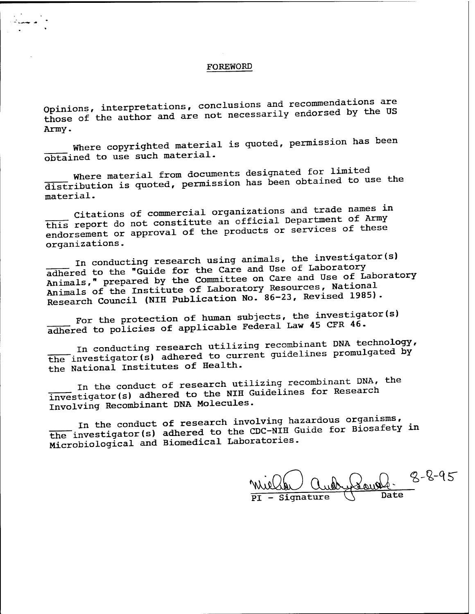### FOREWORD

Opinions, interpretations, conclusions and recommendations are those of the author and are not necessarily endorsed by the US Army.

Where copyrighted material is quoted, permission has been obtained to use such material.

Where material from documents designated for limited distribution is quoted, permission has been obtained to use the material.

Citations of commercial organizations and trade names in this report do not constitute an official Department of Army endorsement or approval of the products or services of these organizations.

In conducting research using animals, the investigator(s) adhered to the "Guide for the Care and Use of Laboratory<br>Animals, " prepared by the Committee on Care and Use of Laboratory Animals of the Institute of Laboratory Resources, National Research Council (NIH Publication No. 86-23, Revised 1985).

For the protection of human subjects, the investigator(s) adhered to policies of applicable Federal Law 45 CFR 46.

In conducting research utilizing recombinant DNA technology, the investigator(s) adhered to current guidelines promulgated by the National Institutes of Health.

In the conduct of research utilizing recombinant DNA, the investigator(s) adhered to the NIH Guidelines for Research Involving Recombinant DNA Molecules.

In the conduct of research involving hazardous organisms, the investigator(s) adhered to the CDC-NIH Guide for Biosafety in Microbiological and Biomedical Laboratories.

Signature **fc-fc-^r**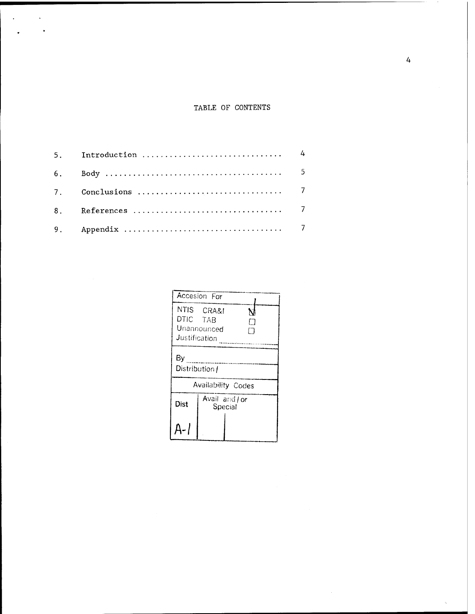# TABLE OF CONTENTS

 $\alpha$  and  $\alpha$ 

 $\overline{a}$ 

|                           | Accesion For              |  |  |
|---------------------------|---------------------------|--|--|
| DTIC TAB<br>Justification | NTIS CRA&I<br>Unannounced |  |  |
| By<br>Distribution /      |                           |  |  |
| Availability Codes        |                           |  |  |
| Dist                      | Avail and / or<br>Special |  |  |
|                           |                           |  |  |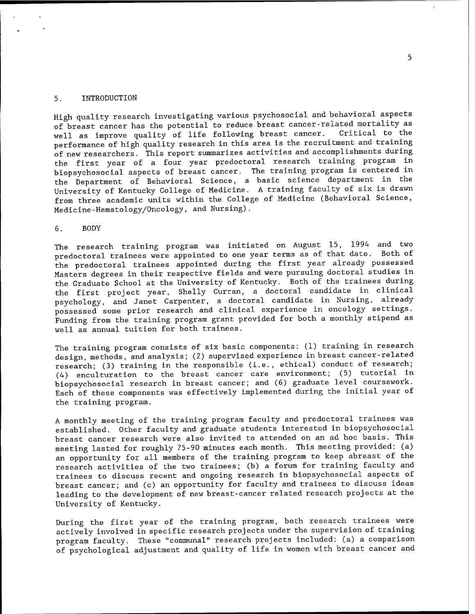#### 5. INTRODUCTION

High quality research investigating various psychosocial and behavioral aspects of breast cancer has the potential to reduce breast cancer-related mortality as well as improve quality of life following breast cancer. Critical to the performance of high quality research in this area is the recruitment and training of new researchers. This report summarizes activities and accomplishments during the first year of a four year predoctoral research training program in biopsychosocial aspects of breast cancer. The training program is centered in the Department of Behavioral Science, a basic science department in the University of Kentucky College of Medicine. A training faculty of six is drawn from three academic units within the College of Medicine (Behavioral Science, Medicine-Hematology/Oncology, and Nursing).

6. BODY

The research training program was initiated on August 15, 1994 and two predoctoral trainees were appointed to one year terms as of that date. Both of the predoctoral trainees appointed during the first year already possessed Masters degrees in their respective fields and were pursuing doctoral studies in the Graduate School at the University of Kentucky. Both of the trainees during the first project year, Shelly Curran, a doctoral candidate in clinical psychology, and Janet Carpenter, a doctoral candidate in Nursing, already possessed some prior research and clinical experience in oncology settings. Funding from the training program grant provided for both a monthly stipend as well as annual tuition for both trainees.

The training program consists of six basic components: (1) training in research design, methods, and analysis; (2) supervised experience in breast cancer-related research; (3) training in the responsible (i.e., ethical) conduct of research; (4) enculturation to the breast cancer care environment; (5) tutorial in biopsychosocial research in breast cancer; and (6) graduate level coursework. Each of these components was effectively implemented during the initial year of the training program.

A monthly meeting of the training program faculty and predoctoral trainees was established. Other faculty and graduate students interested in biopsychosocial breast cancer research were also invited to attended on an ad hoc basis. This meeting lasted for roughly 75-90 minutes each month. This meeting provided: (a) an opportunity for all members of the training program to keep abreast of the research activities of the two trainees; (b) a forum for training faculty and trainees to discuss recent and ongoing research in biopsychosocial aspects of breast cancer; and (c) an opportunity for faculty and trainees to discuss ideas leading to the development of new breast-cancer related research projects at the University of Kentucky.

During the first year of the training program, both research trainees were actively involved in specific research projects under the supervision of training program faculty. These "communal" research projects included: (a) a comparison of psychological adjustment and quality of life in women with breast cancer and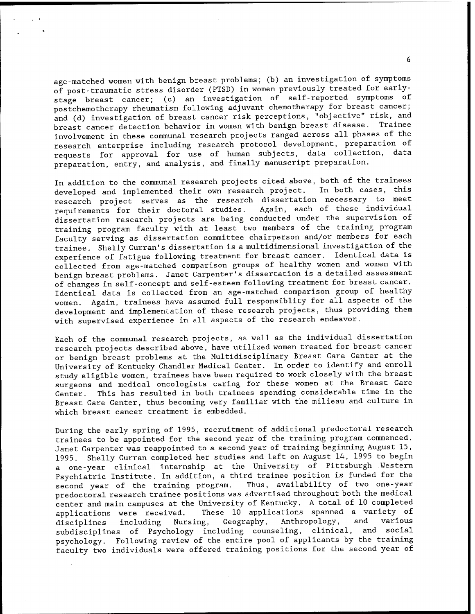age-matched women with benign breast problems; (b) an investigation of symptoms of post-traumatic stress disorder (PTSD) in women previously treated for earlystage breast cancer; (c) an investigation of self-reported symptoms of postchemotherapy rheumatism following adjuvant chemotherapy for breast cancer; and (d) investigation of breast cancer risk perceptions, "objective" risk, and breast cancer detection behavior in women with benign breast disease. Trainee involvement in these communal research projects ranged across all phases of the research enterprise including research protocol development, preparation of requests for approval for use of human subjects, data collection, data preparation, entry, and analysis, and finally manuscript preparation.

In addition to the communal research projects cited above, both of the trainees developed and implemented their own research project. In both cases, this research project serves as the research dissertation necessary to meet requirements for their doctoral studies. Again, each of these individual dissertation research projects are being conducted under the supervision of training program faculty with at least two members of the training program faculty serving as dissertation committee chairperson and/or members for each trainee. Shelly Curran's dissertation is a multidimensional investigation of the experience of fatigue following treatment for breast cancer. Identical data is collected from age-matched comparison groups of healthy women and women with benign breast problems. Janet Carpenter's dissertation is a detailed assessment of changes in self-concept and self-esteem following treatment for breast cancer. Identical data is collected from an age-matched comparison group of healthy women. Again, trainees have assumed full responsiblity for all aspects of the development and implementation of these research projects, thus providing them with supervised experience in all aspects of the research endeavor.

Each of the communal research projects, as well as the individual dissertation research projects described above, have utilized women treated for breast cancer or benign breast problems at the Multidisciplinary Breast Care Center at the University of Kentucky Chandler Medical Center. In order to identify and enroll study eligible women, trainees have been required to work closely with the breast surgeons and medical oncologists caring for these women at the Breast Care Center. This has resulted in both trainees spending considerable time in the Breast Care Center, thus becoming very familiar with the milieau and culture in which breast cancer treatment is embedded.

During the early spring of 1995, recruitment of additional predoctoral research trainees to be appointed for the second year of the training program commenced. Janet Carpenter was reappointed to a second year of training beginning August 15, 1995. Shelly Curran completed her studies and left on August 14, 1995 to begin a one-year clinical internship at the University of Pittsburgh Western Psychiatric Institute. In addition, a third trainee position is funded for the<br>second year of the training program. Thus, availability of two one-year second year of the training program. predoctoral research trainee positions was advertised throughout both the medical center and main campuses at the University of Kentucky. A total of 10 completed applications were received. These 10 applications spanned a variety of disciplines including Nursing, Geography, Anthropology, and various subdisciplines of Psychology including counseling, clinical, and social psychology. Following review of the entire pool of applicants by the training faculty two individuals were offered training positions for the second year of